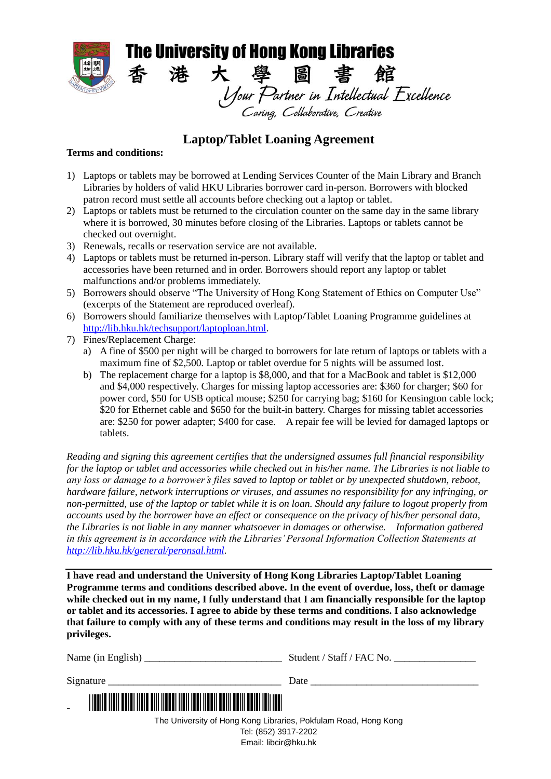

## **Laptop/Tablet Loaning Agreement**

## **Terms and conditions:**

- 1) Laptops or tablets may be borrowed at Lending Services Counter of the Main Library and Branch Libraries by holders of valid HKU Libraries borrower card in-person. Borrowers with blocked patron record must settle all accounts before checking out a laptop or tablet.
- 2) Laptops or tablets must be returned to the circulation counter on the same day in the same library where it is borrowed, 30 minutes before closing of the Libraries. Laptops or tablets cannot be checked out overnight.
- 3) Renewals, recalls or reservation service are not available.
- 4) Laptops or tablets must be returned in-person. Library staff will verify that the laptop or tablet and accessories have been returned and in order. Borrowers should report any laptop or tablet malfunctions and/or problems immediately.
- 5) Borrowers should observe "The University of Hong Kong Statement of Ethics on Computer Use" (excerpts of the Statement are reproduced overleaf).
- 6) Borrowers should familiarize themselves with Laptop/Tablet Loaning Programme guidelines at [http://lib.hku.hk/techsupport/laptoploan.html.](http://lib.hku.hk/techsupport/laptoploan.html)
- 7) Fines/Replacement Charge:
	- a) A fine of \$500 per night will be charged to borrowers for late return of laptops or tablets with a maximum fine of \$2,500. Laptop or tablet overdue for 5 nights will be assumed lost.
	- b) The replacement charge for a laptop is \$8,000, and that for a MacBook and tablet is \$12,000 and \$4,000 respectively. Charges for missing laptop accessories are: \$360 for charger; \$60 for power cord, \$50 for USB optical mouse; \$250 for carrying bag; \$160 for Kensington cable lock; \$20 for Ethernet cable and \$650 for the built-in battery. Charges for missing tablet accessories are: \$250 for power adapter; \$400 for case. A repair fee will be levied for damaged laptops or tablets.

*Reading and signing this agreement certifies that the undersigned assumes full financial responsibility for the laptop or tablet and accessories while checked out in his/her name. The Libraries is not liable to any loss or damage to a borrower's files saved to laptop or tablet or by unexpected shutdown, reboot, hardware failure, network interruptions or viruses, and assumes no responsibility for any infringing, or non-permitted, use of the laptop or tablet while it is on loan. Should any failure to logout properly from accounts used by the borrower have an effect or consequence on the privacy of his/her personal data, the Libraries is not liable in any manner whatsoever in damages or otherwise. Information gathered in this agreement is in accordance with the Libraries' Personal Information Collection Statements at [http://lib.hku.hk/general/peronsal.html.](http://lib.hku.hk/general/peronsal.html)*

**I have read and understand the University of Hong Kong Libraries Laptop/Tablet Loaning Programme terms and conditions described above. In the event of overdue, loss, theft or damage while checked out in my name, I fully understand that I am financially responsible for the laptop or tablet and its accessories. I agree to abide by these terms and conditions. I also acknowledge that failure to comply with any of these terms and conditions may result in the loss of my library privileges.**

|                                                                                               | Student / Staff / FAC No. |
|-----------------------------------------------------------------------------------------------|---------------------------|
| Signature                                                                                     |                           |
| <u> I ITALIA ILAILEA DIA ILAILEA DII ILAAN ILAILEA JA ILAILEA ON HALLI TARTI ILAILEA ON H</u> |                           |
| The University of Hong Kong Libraries, Pokfulam Road, Hong Kong                               |                           |
| Tel: (852) 3917-2202                                                                          |                           |
| Email: libcir@hku.hk                                                                          |                           |